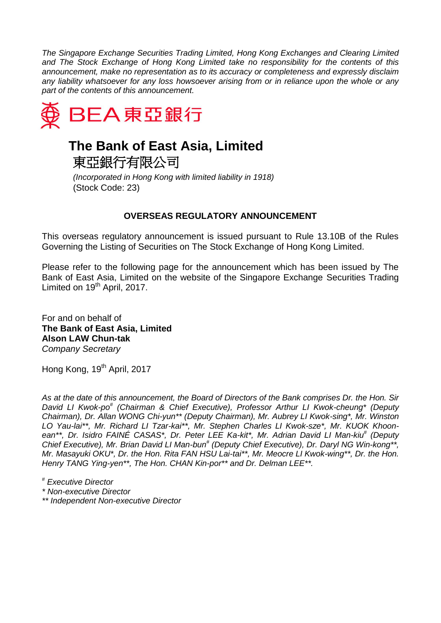*The Singapore Exchange Securities Trading Limited, Hong Kong Exchanges and Clearing Limited and The Stock Exchange of Hong Kong Limited take no responsibility for the contents of this announcement, make no representation as to its accuracy or completeness and expressly disclaim any liability whatsoever for any loss howsoever arising from or in reliance upon the whole or any part of the contents of this announcement.*



## **The Bank of East Asia, Limited**

東亞銀行有限公司

*(Incorporated in Hong Kong with limited liability in 1918)* (Stock Code: 23)

## **OVERSEAS REGULATORY ANNOUNCEMENT**

This overseas regulatory announcement is issued pursuant to Rule 13.10B of the Rules Governing the Listing of Securities on The Stock Exchange of Hong Kong Limited.

Please refer to the following page for the announcement which has been issued by The Bank of East Asia, Limited on the website of the Singapore Exchange Securities Trading Limited on  $19<sup>th</sup>$  April, 2017.

For and on behalf of **The Bank of East Asia, Limited Alson LAW Chun-tak** *Company Secretary*

Hong Kong, 19<sup>th</sup> April, 2017

*As at the date of this announcement, the Board of Directors of the Bank comprises Dr. the Hon. Sir David LI Kwok-po# (Chairman & Chief Executive), Professor Arthur LI Kwok-cheung\* (Deputy Chairman), Dr. Allan WONG Chi-yun\*\* (Deputy Chairman), Mr. Aubrey LI Kwok-sing\*, Mr. Winston LO Yau-lai\*\*, Mr. Richard LI Tzar-kai\*\*, Mr. Stephen Charles LI Kwok-sze\*, Mr. KUOK Khoonean\*\*, Dr. Isidro FAINÉ CASAS\*, Dr. Peter LEE Ka-kit\*, Mr. Adrian David LI Man-kiu# (Deputy Chief Executive), Mr. Brian David LI Man-bun# (Deputy Chief Executive), Dr. Daryl NG Win-kong\*\*, Mr. Masayuki OKU\*, Dr. the Hon. Rita FAN HSU Lai-tai\*\*, Mr. Meocre LI Kwok-wing\*\*, Dr. the Hon. Henry TANG Ying-yen\*\*, The Hon. CHAN Kin-por\*\* and Dr. Delman LEE\*\*.*

*# Executive Director*

*\* Non-executive Director*

*\*\* Independent Non-executive Director*